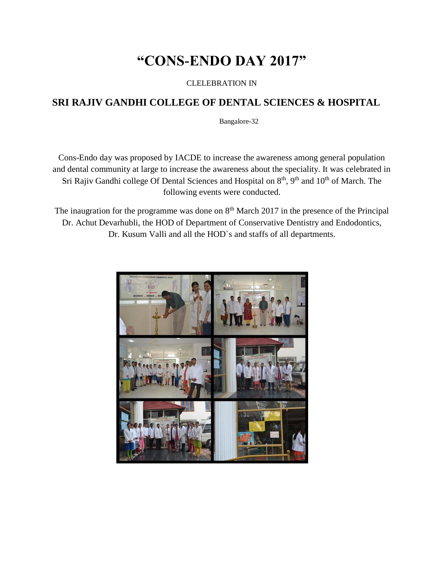# **"CONS-ENDO DAY 2017"**

CLELEBRATION IN

#### **SRI RAJIV GANDHI COLLEGE OF DENTAL SCIENCES & HOSPITAL**

Bangalore-32

Cons-Endo day was proposed by IACDE to increase the awareness among general population and dental community at large to increase the awareness about the speciality. It was celebrated in Sri Rajiv Gandhi college Of Dental Sciences and Hospital on  $8<sup>th</sup>$ ,  $9<sup>th</sup>$  and  $10<sup>th</sup>$  of March. The following events were conducted.

The inaugration for the programme was done on  $8<sup>th</sup>$  March 2017 in the presence of the Principal Dr. Achut Devarhubli, the HOD of Department of Conservative Dentistry and Endodontics, Dr. Kusum Valli and all the HOD`s and staffs of all departments.

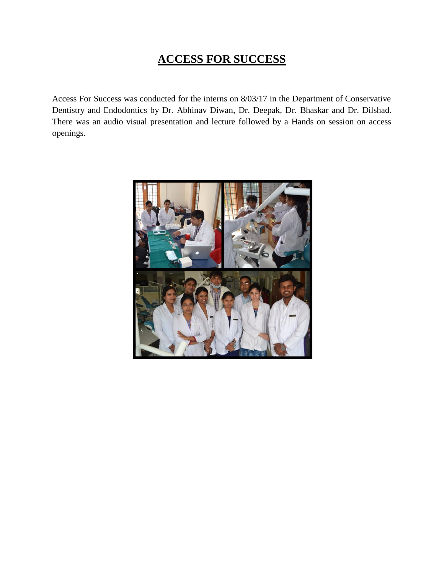# **ACCESS FOR SUCCESS**

Access For Success was conducted for the interns on 8/03/17 in the Department of Conservative Dentistry and Endodontics by Dr. Abhinav Diwan, Dr. Deepak, Dr. Bhaskar and Dr. Dilshad. There was an audio visual presentation and lecture followed by a Hands on session on access openings.

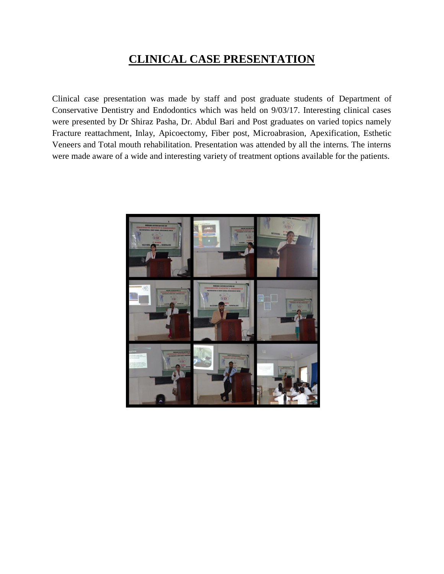### **CLINICAL CASE PRESENTATION**

Clinical case presentation was made by staff and post graduate students of Department of Conservative Dentistry and Endodontics which was held on 9/03/17. Interesting clinical cases were presented by Dr Shiraz Pasha, Dr. Abdul Bari and Post graduates on varied topics namely Fracture reattachment, Inlay, Apicoectomy, Fiber post, Microabrasion, Apexification, Esthetic Veneers and Total mouth rehabilitation. Presentation was attended by all the interns. The interns were made aware of a wide and interesting variety of treatment options available for the patients.

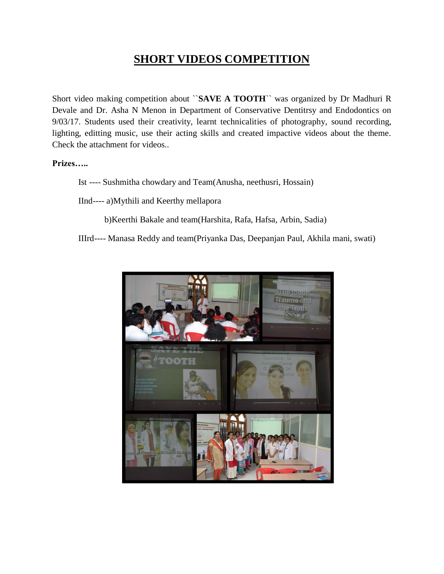### **SHORT VIDEOS COMPETITION**

Short video making competition about ``**SAVE A TOOTH**`` was organized by Dr Madhuri R Devale and Dr. Asha N Menon in Department of Conservative Dentitrsy and Endodontics on 9/03/17. Students used their creativity, learnt technicalities of photography, sound recording, lighting, editting music, use their acting skills and created impactive videos about the theme. Check the attachment for videos..

**Prizes…..**

Ist ---- Sushmitha chowdary and Team(Anusha, neethusri, Hossain)

IInd---- a)Mythili and Keerthy mellapora

b)Keerthi Bakale and team(Harshita, Rafa, Hafsa, Arbin, Sadia)

IIIrd---- Manasa Reddy and team(Priyanka Das, Deepanjan Paul, Akhila mani, swati)

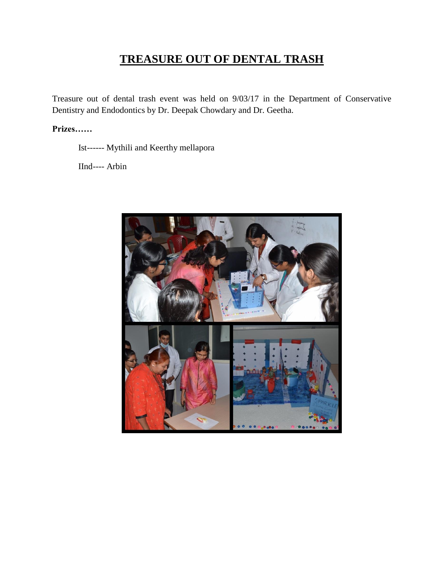# **TREASURE OUT OF DENTAL TRASH**

Treasure out of dental trash event was held on 9/03/17 in the Department of Conservative Dentistry and Endodontics by Dr. Deepak Chowdary and Dr. Geetha.

#### Prizes......

Ist------ Mythili and Keerthy mellapora

IInd---- Arbin

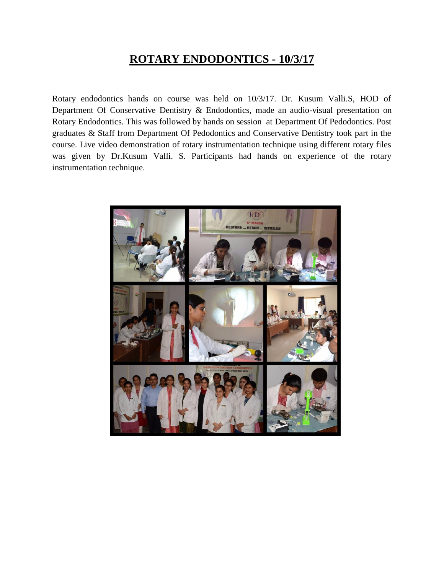#### **ROTARY ENDODONTICS - 10/3/17**

Rotary endodontics hands on course was held on 10/3/17. Dr. Kusum Valli.S, HOD of Department Of Conservative Dentistry & Endodontics, made an audio-visual presentation on Rotary Endodontics. This was followed by hands on session at Department Of Pedodontics. Post graduates & Staff from Department Of Pedodontics and Conservative Dentistry took part in the course. Live video demonstration of rotary instrumentation technique using different rotary files was given by Dr.Kusum Valli. S. Participants had hands on experience of the rotary instrumentation technique.